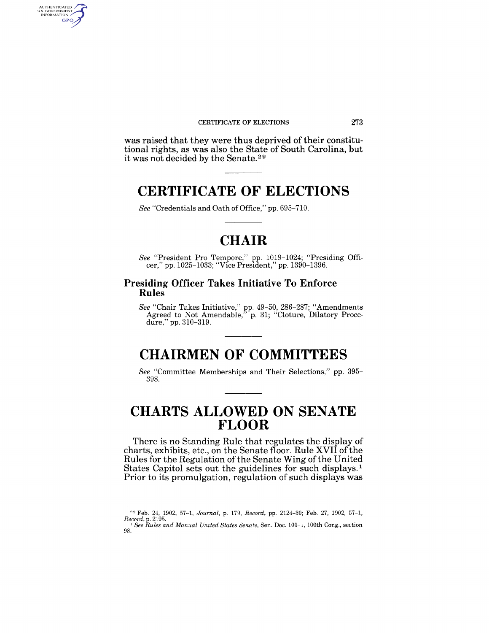#### CERTIFICATE OF ELECTIONS 273

was raised that they were thus deprived of their constitutional rights, as was also the State of South Carolina, but it was not decided by the Senate. 29

## **CERTIFICATE OF ELECTIONS**

*See* "Credentials and Oath of Office," pp. 695-710.

AUTHENTICATED<br>U.S. GOVERNMENT<br>INFORMATION **GPO** 

## **CHAIR**

*See* "President Pro Tempore," pp. 1019-1024; "Presiding Officer," pp. 1025-1033; "Vice President," pp. 1390-1396.

### **Presiding Officer Takes Initiative To Enforce Rules**

*See* "Chair Takes Initiative," pp. 49-50, 286-287; "Amendments Agreed to Not Amendable,<sup>7</sup> p. 31; "Cloture, Dilatory Procedure," pp. 310-319.

# **CHAIRMEN OF COMMITTEES**

*See* "Committee Memberships and Their Selections," pp. 395- 398.

## **CHARTS ALLOWED ON SENATE FLOOR**

There is no Standing Rule that regulates the display of charts, exhibits, etc., on the Senate floor. Rule XVII of the Rules for the Regulation of the Senate Wing of the United States Capitol sets out the guidelines for such displays.<sup>1</sup> Prior to its promulgation, regulation of such displays was

<sup>29</sup> Feb. 24, 1902, 57-1, *Journal,* p. 179, *Record,* pp. 2124-30; Feb. 27, 1902, 57-1, *Record,* p. 2195.

<sup>1</sup>*See Rules and Manual United States Senate,* Sen. Doc. 100-1, 100th Cong., section 98.